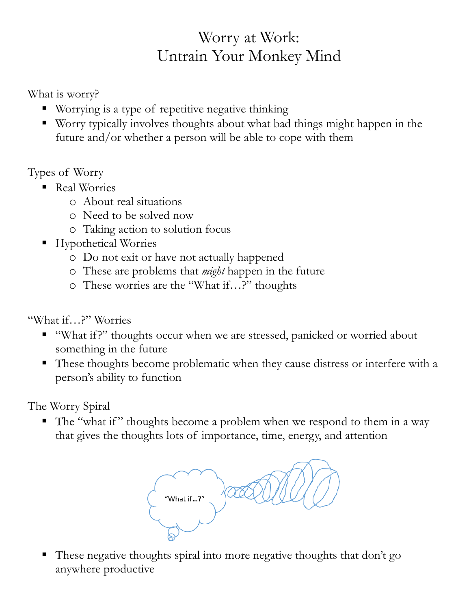## Worry at Work: Untrain Your Monkey Mind

What is worry?

- Worrying is a type of repetitive negative thinking
- Worry typically involves thoughts about what bad things might happen in the future and/or whether a person will be able to cope with them

Types of Worry

- Real Worries
	- o About real situations
	- o Need to be solved now
	- o Taking action to solution focus
- Hypothetical Worries
	- o Do not exit or have not actually happened
	- o These are problems that *might* happen in the future
	- o These worries are the "What if…?" thoughts

"What if…?" Worries

- " "What if?" thoughts occur when we are stressed, panicked or worried about something in the future
- These thoughts become problematic when they cause distress or interfere with a person's ability to function

The Worry Spiral

• The "what if" thoughts become a problem when we respond to them in a way that gives the thoughts lots of importance, time, energy, and attention

"What if...?"

• These negative thoughts spiral into more negative thoughts that don't go anywhere productive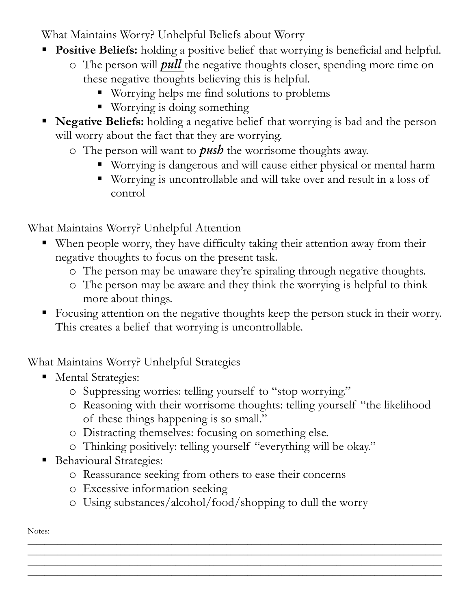What Maintains Worry? Unhelpful Beliefs about Worry

- **Positive Beliefs:** holding a positive belief that worrying is beneficial and helpful.
	- o The person will *pull* the negative thoughts closer, spending more time on these negative thoughts believing this is helpful.
		- Worrying helps me find solutions to problems
		- Worrying is doing something
- **Negative Beliefs:** holding a negative belief that worrying is bad and the person will worry about the fact that they are worrying.
	- o The person will want to *push* the worrisome thoughts away.
		- Worrying is dangerous and will cause either physical or mental harm
		- Worrying is uncontrollable and will take over and result in a loss of control

What Maintains Worry? Unhelpful Attention

- When people worry, they have difficulty taking their attention away from their negative thoughts to focus on the present task.
	- o The person may be unaware they're spiraling through negative thoughts.
	- o The person may be aware and they think the worrying is helpful to think more about things.
- Focusing attention on the negative thoughts keep the person stuck in their worry. This creates a belief that worrying is uncontrollable.

What Maintains Worry? Unhelpful Strategies

- **Mental Strategies:** 
	- o Suppressing worries: telling yourself to "stop worrying."
	- o Reasoning with their worrisome thoughts: telling yourself "the likelihood of these things happening is so small."
	- o Distracting themselves: focusing on something else.
	- o Thinking positively: telling yourself "everything will be okay."
- **Behavioural Strategies:** 
	- o Reassurance seeking from others to ease their concerns
	- o Excessive information seeking
	- o Using substances/alcohol/food/shopping to dull the worry

 $\_$  ,  $\_$  ,  $\_$  ,  $\_$  ,  $\_$  ,  $\_$  ,  $\_$  ,  $\_$  ,  $\_$  ,  $\_$  ,  $\_$  ,  $\_$  ,  $\_$  ,  $\_$  ,  $\_$  ,  $\_$  ,  $\_$  ,  $\_$  ,  $\_$  ,  $\_$  ,  $\_$  ,  $\_$  ,  $\_$  ,  $\_$  ,  $\_$  ,  $\_$  ,  $\_$  ,  $\_$  ,  $\_$  ,  $\_$  ,  $\_$  ,  $\_$  ,  $\_$  ,  $\_$  ,  $\_$  ,  $\_$  ,  $\_$  , \_\_\_\_\_\_\_\_\_\_\_\_\_\_\_\_\_\_\_\_\_\_\_\_\_\_\_\_\_\_\_\_\_\_\_\_\_\_\_\_\_\_\_\_\_\_\_\_\_\_\_\_\_\_\_\_\_\_\_\_\_\_\_\_\_\_\_\_\_\_\_\_\_\_\_\_\_\_\_\_\_\_\_\_\_\_\_\_\_\_\_\_\_\_\_\_\_\_ \_\_\_\_\_\_\_\_\_\_\_\_\_\_\_\_\_\_\_\_\_\_\_\_\_\_\_\_\_\_\_\_\_\_\_\_\_\_\_\_\_\_\_\_\_\_\_\_\_\_\_\_\_\_\_\_\_\_\_\_\_\_\_\_\_\_\_\_\_\_\_\_\_\_\_\_\_\_\_\_\_\_\_\_\_\_\_\_\_\_\_\_\_\_\_\_\_\_

Notes: \_\_\_\_\_\_\_\_\_\_\_\_\_\_\_\_\_\_\_\_\_\_\_\_\_\_\_\_\_\_\_\_\_\_\_\_\_\_\_\_\_\_\_\_\_\_\_\_\_\_\_\_\_\_\_\_\_\_\_\_\_\_\_\_\_\_\_\_\_\_\_\_\_\_\_\_\_\_\_\_\_\_\_\_\_\_\_\_\_\_\_\_\_\_\_\_\_\_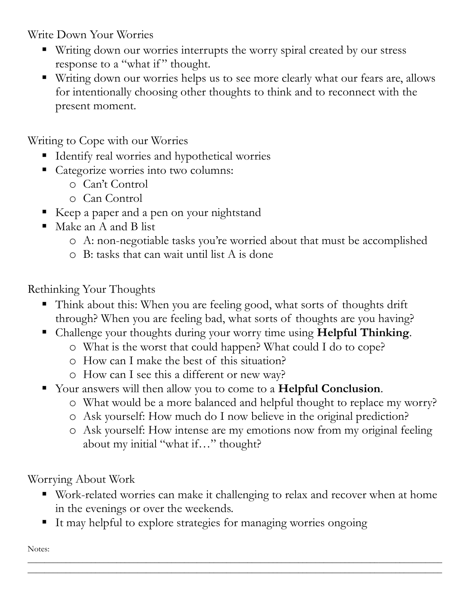Write Down Your Worries

- Writing down our worries interrupts the worry spiral created by our stress response to a "what if" thought.
- Writing down our worries helps us to see more clearly what our fears are, allows for intentionally choosing other thoughts to think and to reconnect with the present moment.

Writing to Cope with our Worries

- Identify real worries and hypothetical worries
- Categorize worries into two columns:
	- o Can't Control
	- o Can Control
- Keep a paper and a pen on your nightstand
- $\blacksquare$  Make an A and B list
	- o A: non-negotiable tasks you're worried about that must be accomplished
	- o B: tasks that can wait until list A is done

Rethinking Your Thoughts

- Think about this: When you are feeling good, what sorts of thoughts drift through? When you are feeling bad, what sorts of thoughts are you having?
- Challenge your thoughts during your worry time using **Helpful Thinking**.
	- o What is the worst that could happen? What could I do to cope?
	- o How can I make the best of this situation?
	- o How can I see this a different or new way?
- Your answers will then allow you to come to a **Helpful Conclusion**.
	- o What would be a more balanced and helpful thought to replace my worry?
	- o Ask yourself: How much do I now believe in the original prediction?
	- o Ask yourself: How intense are my emotions now from my original feeling about my initial "what if…" thought?

Worrying About Work

 Work-related worries can make it challenging to relax and recover when at home in the evenings or over the weekends.

\_\_\_\_\_\_\_\_\_\_\_\_\_\_\_\_\_\_\_\_\_\_\_\_\_\_\_\_\_\_\_\_\_\_\_\_\_\_\_\_\_\_\_\_\_\_\_\_\_\_\_\_\_\_\_\_\_\_\_\_\_\_\_\_\_\_\_\_\_\_\_\_\_\_\_\_\_\_\_\_\_\_\_\_\_\_\_\_\_\_\_\_\_\_\_\_\_\_ \_\_\_\_\_\_\_\_\_\_\_\_\_\_\_\_\_\_\_\_\_\_\_\_\_\_\_\_\_\_\_\_\_\_\_\_\_\_\_\_\_\_\_\_\_\_\_\_\_\_\_\_\_\_\_\_\_\_\_\_\_\_\_\_\_\_\_\_\_\_\_\_\_\_\_\_\_\_\_\_\_\_\_\_\_\_\_\_\_\_\_\_\_\_\_\_\_\_

■ It may helpful to explore strategies for managing worries ongoing

Notes: